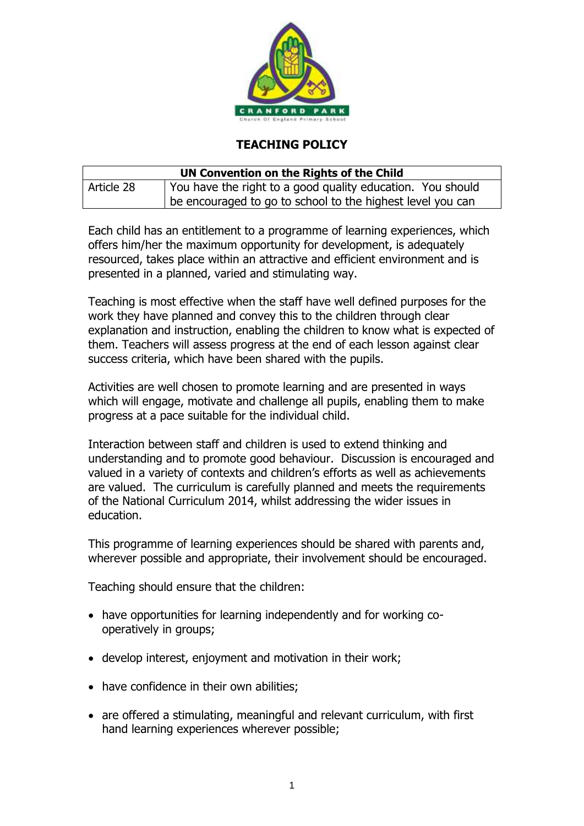

## **TEACHING POLICY**

| UN Convention on the Rights of the Child |                                                            |
|------------------------------------------|------------------------------------------------------------|
| Article 28                               | You have the right to a good quality education. You should |
|                                          | be encouraged to go to school to the highest level you can |

Each child has an entitlement to a programme of learning experiences, which offers him/her the maximum opportunity for development, is adequately resourced, takes place within an attractive and efficient environment and is presented in a planned, varied and stimulating way.

Teaching is most effective when the staff have well defined purposes for the work they have planned and convey this to the children through clear explanation and instruction, enabling the children to know what is expected of them. Teachers will assess progress at the end of each lesson against clear success criteria, which have been shared with the pupils.

Activities are well chosen to promote learning and are presented in ways which will engage, motivate and challenge all pupils, enabling them to make progress at a pace suitable for the individual child.

Interaction between staff and children is used to extend thinking and understanding and to promote good behaviour. Discussion is encouraged and valued in a variety of contexts and children's efforts as well as achievements are valued. The curriculum is carefully planned and meets the requirements of the National Curriculum 2014, whilst addressing the wider issues in education.

This programme of learning experiences should be shared with parents and, wherever possible and appropriate, their involvement should be encouraged.

Teaching should ensure that the children:

- have opportunities for learning independently and for working cooperatively in groups;
- develop interest, enjoyment and motivation in their work;
- have confidence in their own abilities;
- are offered a stimulating, meaningful and relevant curriculum, with first hand learning experiences wherever possible;